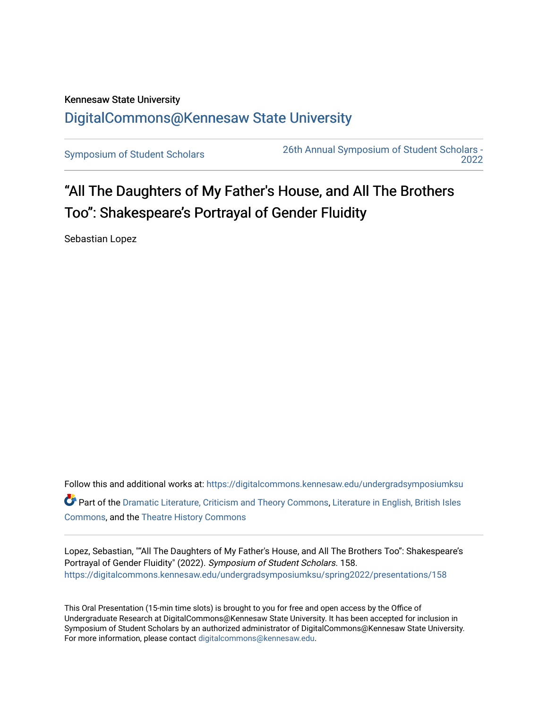## Kennesaw State University [DigitalCommons@Kennesaw State University](https://digitalcommons.kennesaw.edu/)

[Symposium of Student Scholars](https://digitalcommons.kennesaw.edu/undergradsymposiumksu) [26th Annual Symposium of Student Scholars -](https://digitalcommons.kennesaw.edu/undergradsymposiumksu/spring2022)  [2022](https://digitalcommons.kennesaw.edu/undergradsymposiumksu/spring2022) 

## "All The Daughters of My Father's House, and All The Brothers Too": Shakespeare's Portrayal of Gender Fluidity

Sebastian Lopez

Follow this and additional works at: [https://digitalcommons.kennesaw.edu/undergradsymposiumksu](https://digitalcommons.kennesaw.edu/undergradsymposiumksu?utm_source=digitalcommons.kennesaw.edu%2Fundergradsymposiumksu%2Fspring2022%2Fpresentations%2F158&utm_medium=PDF&utm_campaign=PDFCoverPages)  Part of the [Dramatic Literature, Criticism and Theory Commons](http://network.bepress.com/hgg/discipline/555?utm_source=digitalcommons.kennesaw.edu%2Fundergradsymposiumksu%2Fspring2022%2Fpresentations%2F158&utm_medium=PDF&utm_campaign=PDFCoverPages), [Literature in English, British Isles](http://network.bepress.com/hgg/discipline/456?utm_source=digitalcommons.kennesaw.edu%2Fundergradsymposiumksu%2Fspring2022%2Fpresentations%2F158&utm_medium=PDF&utm_campaign=PDFCoverPages) [Commons](http://network.bepress.com/hgg/discipline/456?utm_source=digitalcommons.kennesaw.edu%2Fundergradsymposiumksu%2Fspring2022%2Fpresentations%2F158&utm_medium=PDF&utm_campaign=PDFCoverPages), and the [Theatre History Commons](http://network.bepress.com/hgg/discipline/553?utm_source=digitalcommons.kennesaw.edu%2Fundergradsymposiumksu%2Fspring2022%2Fpresentations%2F158&utm_medium=PDF&utm_campaign=PDFCoverPages)

Lopez, Sebastian, ""All The Daughters of My Father's House, and All The Brothers Too": Shakespeare's Portrayal of Gender Fluidity" (2022). Symposium of Student Scholars. 158. [https://digitalcommons.kennesaw.edu/undergradsymposiumksu/spring2022/presentations/158](https://digitalcommons.kennesaw.edu/undergradsymposiumksu/spring2022/presentations/158?utm_source=digitalcommons.kennesaw.edu%2Fundergradsymposiumksu%2Fspring2022%2Fpresentations%2F158&utm_medium=PDF&utm_campaign=PDFCoverPages)

This Oral Presentation (15-min time slots) is brought to you for free and open access by the Office of Undergraduate Research at DigitalCommons@Kennesaw State University. It has been accepted for inclusion in Symposium of Student Scholars by an authorized administrator of DigitalCommons@Kennesaw State University. For more information, please contact [digitalcommons@kennesaw.edu.](mailto:digitalcommons@kennesaw.edu)